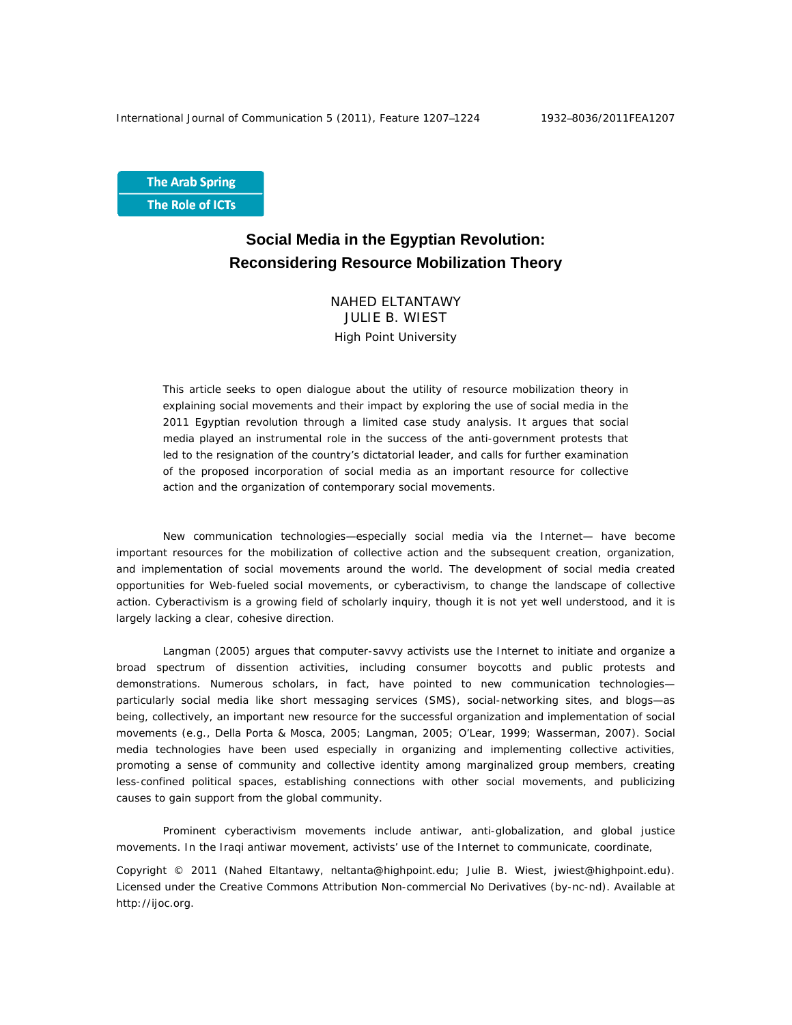**The Arab Spring** The Role of ICTs

# **Social Media in the Egyptian Revolution: Reconsidering Resource Mobilization Theory**

NAHED ELTANTAWY JULIE B. WIEST High Point University

This article seeks to open dialogue about the utility of resource mobilization theory in explaining social movements and their impact by exploring the use of social media in the 2011 Egyptian revolution through a limited case study analysis. It argues that social media played an instrumental role in the success of the anti-government protests that led to the resignation of the country's dictatorial leader, and calls for further examination of the proposed incorporation of social media as an important resource for collective action and the organization of contemporary social movements.

New communication technologies—especially social media via the Internet— have become important resources for the mobilization of collective action and the subsequent creation, organization, and implementation of social movements around the world. The development of social media created opportunities for Web-fueled social movements, or cyberactivism, to change the landscape of collective action. Cyberactivism is a growing field of scholarly inquiry, though it is not yet well understood, and it is largely lacking a clear, cohesive direction.

Langman (2005) argues that computer-savvy activists use the Internet to initiate and organize a broad spectrum of dissention activities, including consumer boycotts and public protests and demonstrations. Numerous scholars, in fact, have pointed to new communication technologies particularly social media like short messaging services (SMS), social-networking sites, and blogs—as being, collectively, an important new resource for the successful organization and implementation of social movements (e.g., Della Porta & Mosca, 2005; Langman, 2005; O'Lear, 1999; Wasserman, 2007). Social media technologies have been used especially in organizing and implementing collective activities, promoting a sense of community and collective identity among marginalized group members, creating less-confined political spaces, establishing connections with other social movements, and publicizing causes to gain support from the global community.

Prominent cyberactivism movements include antiwar, anti-globalization, and global justice movements. In the Iraqi antiwar movement, activists' use of the Internet to communicate, coordinate,

Copyright © 2011 (Nahed Eltantawy, neltanta@highpoint.edu; Julie B. Wiest, jwiest@highpoint.edu). Licensed under the Creative Commons Attribution Non-commercial No Derivatives (by-nc-nd). Available at http://ijoc.org.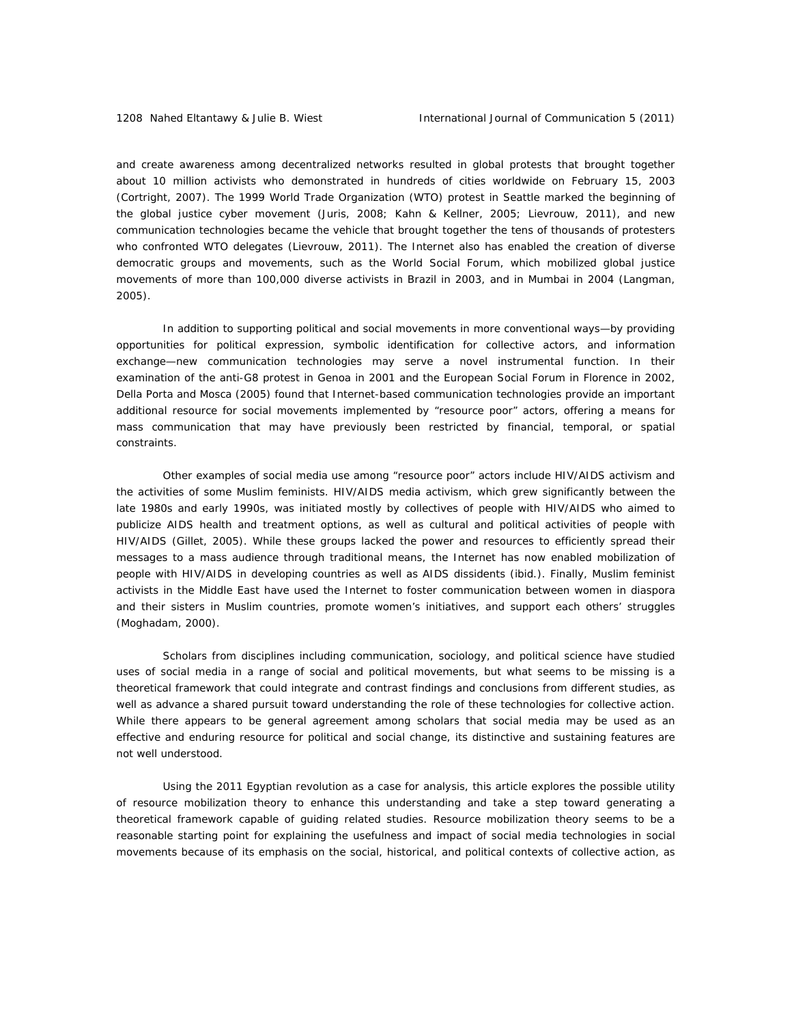and create awareness among decentralized networks resulted in global protests that brought together about 10 million activists who demonstrated in hundreds of cities worldwide on February 15, 2003 (Cortright, 2007). The 1999 World Trade Organization (WTO) protest in Seattle marked the beginning of the global justice cyber movement (Juris, 2008; Kahn & Kellner, 2005; Lievrouw, 2011), and new communication technologies became the vehicle that brought together the tens of thousands of protesters who confronted WTO delegates (Lievrouw, 2011). The Internet also has enabled the creation of diverse democratic groups and movements, such as the World Social Forum, which mobilized global justice movements of more than 100,000 diverse activists in Brazil in 2003, and in Mumbai in 2004 (Langman, 2005).

In addition to supporting political and social movements in more conventional ways—by providing opportunities for political expression, symbolic identification for collective actors, and information exchange—new communication technologies may serve a novel instrumental function. In their examination of the anti-G8 protest in Genoa in 2001 and the European Social Forum in Florence in 2002, Della Porta and Mosca (2005) found that Internet-based communication technologies provide an important additional resource for social movements implemented by "resource poor" actors, offering a means for mass communication that may have previously been restricted by financial, temporal, or spatial constraints.

Other examples of social media use among "resource poor" actors include HIV/AIDS activism and the activities of some Muslim feminists. HIV/AIDS media activism, which grew significantly between the late 1980s and early 1990s, was initiated mostly by collectives of people with HIV/AIDS who aimed to publicize AIDS health and treatment options, as well as cultural and political activities of people with HIV/AIDS (Gillet, 2005). While these groups lacked the power and resources to efficiently spread their messages to a mass audience through traditional means, the Internet has now enabled mobilization of people with HIV/AIDS in developing countries as well as AIDS dissidents (ibid.). Finally, Muslim feminist activists in the Middle East have used the Internet to foster communication between women in diaspora and their sisters in Muslim countries, promote women's initiatives, and support each others' struggles (Moghadam, 2000).

Scholars from disciplines including communication, sociology, and political science have studied uses of social media in a range of social and political movements, but what seems to be missing is a theoretical framework that could integrate and contrast findings and conclusions from different studies, as well as advance a shared pursuit toward understanding the role of these technologies for collective action. While there appears to be general agreement among scholars that social media may be used as an effective and enduring resource for political and social change, its distinctive and sustaining features are not well understood.

Using the 2011 Egyptian revolution as a case for analysis, this article explores the possible utility of resource mobilization theory to enhance this understanding and take a step toward generating a theoretical framework capable of guiding related studies. Resource mobilization theory seems to be a reasonable starting point for explaining the usefulness and impact of social media technologies in social movements because of its emphasis on the social, historical, and political contexts of collective action, as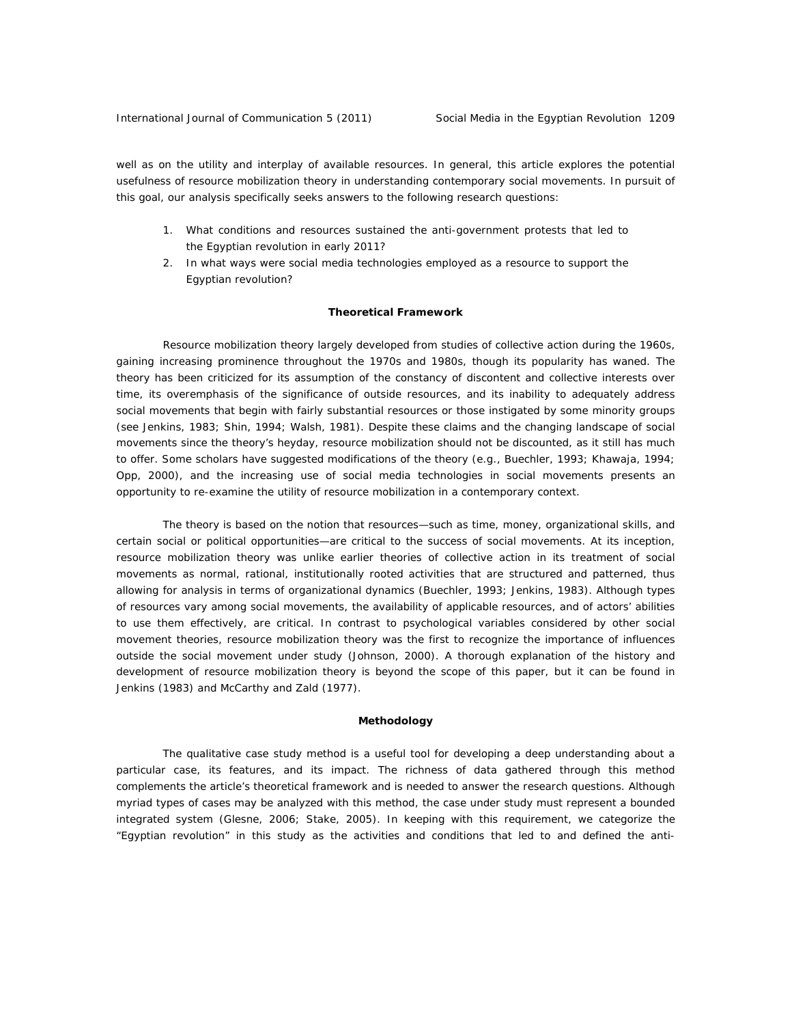well as on the utility and interplay of available resources. In general, this article explores the potential usefulness of resource mobilization theory in understanding contemporary social movements. In pursuit of this goal, our analysis specifically seeks answers to the following research questions:

- 1. What conditions and resources sustained the anti-government protests that led to the Egyptian revolution in early 2011?
- 2. In what ways were social media technologies employed as a resource to support the Egyptian revolution?

## **Theoretical Framework**

Resource mobilization theory largely developed from studies of collective action during the 1960s, gaining increasing prominence throughout the 1970s and 1980s, though its popularity has waned. The theory has been criticized for its assumption of the constancy of discontent and collective interests over time, its overemphasis of the significance of outside resources, and its inability to adequately address social movements that begin with fairly substantial resources or those instigated by some minority groups (see Jenkins, 1983; Shin, 1994; Walsh, 1981). Despite these claims and the changing landscape of social movements since the theory's heyday, resource mobilization should not be discounted, as it still has much to offer. Some scholars have suggested modifications of the theory (e.g., Buechler, 1993; Khawaja, 1994; Opp, 2000), and the increasing use of social media technologies in social movements presents an opportunity to re-examine the utility of resource mobilization in a contemporary context.

The theory is based on the notion that resources—such as time, money, organizational skills, and certain social or political opportunities—are critical to the success of social movements. At its inception, resource mobilization theory was unlike earlier theories of collective action in its treatment of social movements as normal, rational, institutionally rooted activities that are structured and patterned, thus allowing for analysis in terms of organizational dynamics (Buechler, 1993; Jenkins, 1983). Although types of resources vary among social movements, the availability of applicable resources, and of actors' abilities to use them effectively, are critical. In contrast to psychological variables considered by other social movement theories, resource mobilization theory was the first to recognize the importance of influences *outside* the social movement under study (Johnson, 2000). A thorough explanation of the history and development of resource mobilization theory is beyond the scope of this paper, but it can be found in Jenkins (1983) and McCarthy and Zald (1977).

#### **Methodology**

The qualitative case study method is a useful tool for developing a deep understanding about a particular case, its features, and its impact. The richness of data gathered through this method complements the article's theoretical framework and is needed to answer the research questions. Although myriad types of cases may be analyzed with this method, the case under study must represent a bounded integrated system (Glesne, 2006; Stake, 2005). In keeping with this requirement, we categorize the "Egyptian revolution" in this study as the activities and conditions that led to and defined the anti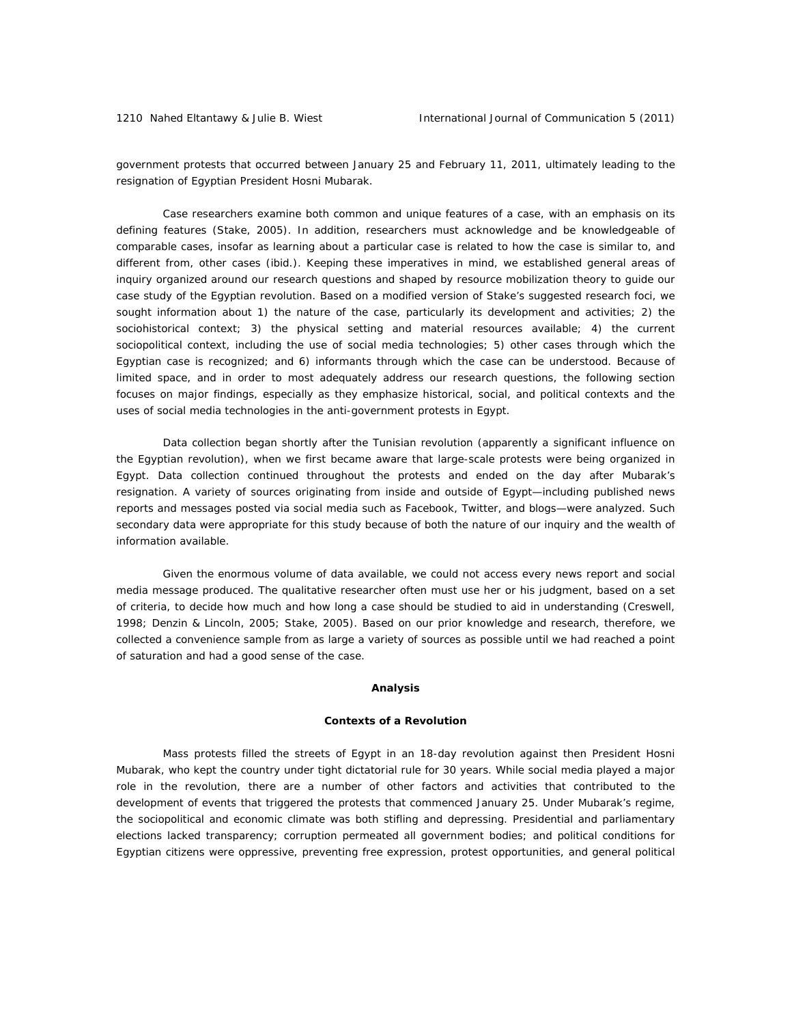government protests that occurred between January 25 and February 11, 2011, ultimately leading to the resignation of Egyptian President Hosni Mubarak.

Case researchers examine both common and unique features of a case, with an emphasis on its defining features (Stake, 2005). In addition, researchers must acknowledge and be knowledgeable of comparable cases, insofar as learning about a particular case is related to how the case is similar to, and different from, other cases (ibid.). Keeping these imperatives in mind, we established general areas of inquiry organized around our research questions and shaped by resource mobilization theory to guide our case study of the Egyptian revolution. Based on a modified version of Stake's suggested research foci, we sought information about 1) the nature of the case, particularly its development and activities; 2) the sociohistorical context; 3) the physical setting and material resources available; 4) the current sociopolitical context, including the use of social media technologies; 5) other cases through which the Egyptian case is recognized; and 6) informants through which the case can be understood. Because of limited space, and in order to most adequately address our research questions, the following section focuses on major findings, especially as they emphasize historical, social, and political contexts and the uses of social media technologies in the anti-government protests in Egypt.

Data collection began shortly after the Tunisian revolution (apparently a significant influence on the Egyptian revolution), when we first became aware that large-scale protests were being organized in Egypt. Data collection continued throughout the protests and ended on the day after Mubarak's resignation. A variety of sources originating from inside and outside of Egypt—including published news reports and messages posted via social media such as Facebook, Twitter, and blogs—were analyzed. Such secondary data were appropriate for this study because of both the nature of our inquiry and the wealth of information available.

Given the enormous volume of data available, we could not access every news report and social media message produced. The qualitative researcher often must use her or his judgment, based on a set of criteria, to decide how much and how long a case should be studied to aid in understanding (Creswell, 1998; Denzin & Lincoln, 2005; Stake, 2005). Based on our prior knowledge and research, therefore, we collected a convenience sample from as large a variety of sources as possible until we had reached a point of saturation and had a good sense of the case.

#### **Analysis**

#### *Contexts of a Revolution*

Mass protests filled the streets of Egypt in an 18-day revolution against then President Hosni Mubarak, who kept the country under tight dictatorial rule for 30 years. While social media played a major role in the revolution, there are a number of other factors and activities that contributed to the development of events that triggered the protests that commenced January 25. Under Mubarak's regime, the sociopolitical and economic climate was both stifling and depressing. Presidential and parliamentary elections lacked transparency; corruption permeated all government bodies; and political conditions for Egyptian citizens were oppressive, preventing free expression, protest opportunities, and general political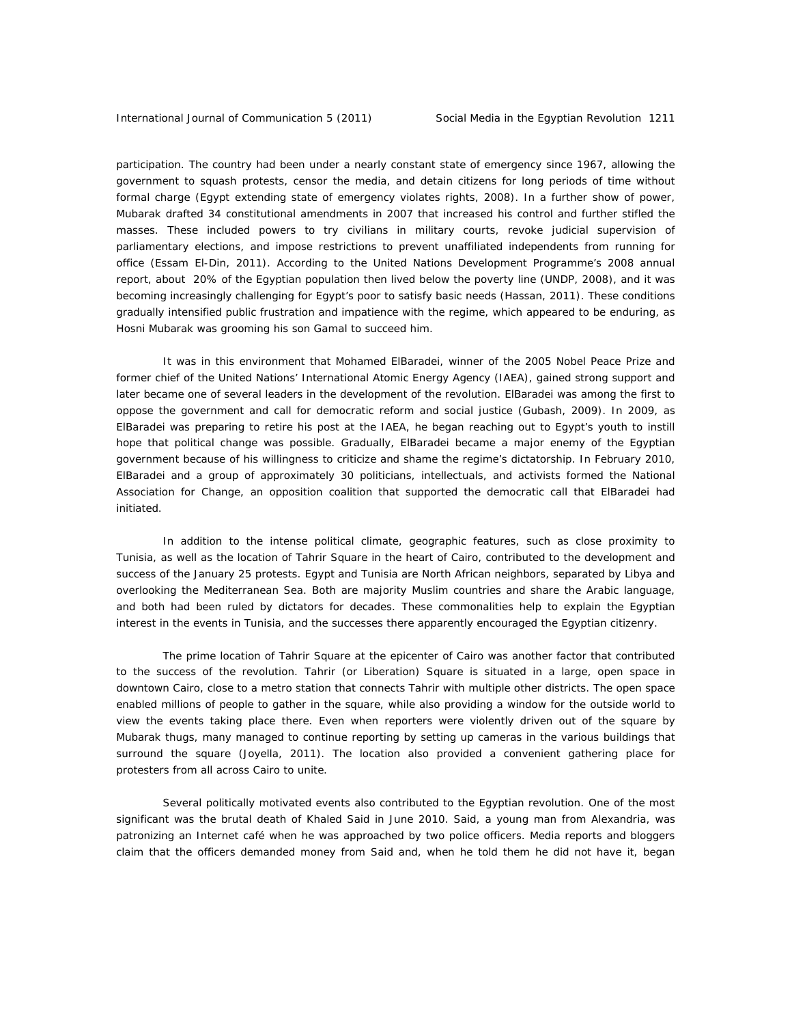participation. The country had been under a nearly constant state of emergency since 1967, allowing the government to squash protests, censor the media, and detain citizens for long periods of time without formal charge (Egypt extending state of emergency violates rights, 2008). In a further show of power, Mubarak drafted 34 constitutional amendments in 2007 that increased his control and further stifled the masses. These included powers to try civilians in military courts, revoke judicial supervision of parliamentary elections, and impose restrictions to prevent unaffiliated independents from running for office (Essam El-Din, 2011). According to the United Nations Development Programme's 2008 annual report, about 20% of the Egyptian population then lived below the poverty line (UNDP, 2008), and it was becoming increasingly challenging for Egypt's poor to satisfy basic needs (Hassan, 2011). These conditions gradually intensified public frustration and impatience with the regime, which appeared to be enduring, as Hosni Mubarak was grooming his son Gamal to succeed him.

It was in this environment that Mohamed ElBaradei, winner of the 2005 Nobel Peace Prize and former chief of the United Nations' International Atomic Energy Agency (IAEA), gained strong support and later became one of several leaders in the development of the revolution. ElBaradei was among the first to oppose the government and call for democratic reform and social justice (Gubash, 2009). In 2009, as ElBaradei was preparing to retire his post at the IAEA, he began reaching out to Egypt's youth to instill hope that political change was possible. Gradually, ElBaradei became a major enemy of the Egyptian government because of his willingness to criticize and shame the regime's dictatorship. In February 2010, ElBaradei and a group of approximately 30 politicians, intellectuals, and activists formed the National Association for Change, an opposition coalition that supported the democratic call that ElBaradei had initiated.

In addition to the intense political climate, geographic features, such as close proximity to Tunisia, as well as the location of Tahrir Square in the heart of Cairo, contributed to the development and success of the January 25 protests. Egypt and Tunisia are North African neighbors, separated by Libya and overlooking the Mediterranean Sea. Both are majority Muslim countries and share the Arabic language, and both had been ruled by dictators for decades. These commonalities help to explain the Egyptian interest in the events in Tunisia, and the successes there apparently encouraged the Egyptian citizenry.

The prime location of Tahrir Square at the epicenter of Cairo was another factor that contributed to the success of the revolution. Tahrir (or Liberation) Square is situated in a large, open space in downtown Cairo, close to a metro station that connects Tahrir with multiple other districts. The open space enabled millions of people to gather in the square, while also providing a window for the outside world to view the events taking place there. Even when reporters were violently driven out of the square by Mubarak thugs, many managed to continue reporting by setting up cameras in the various buildings that surround the square (Joyella, 2011). The location also provided a convenient gathering place for protesters from all across Cairo to unite.

Several politically motivated events also contributed to the Egyptian revolution. One of the most significant was the brutal death of Khaled Said in June 2010. Said, a young man from Alexandria, was patronizing an Internet café when he was approached by two police officers. Media reports and bloggers claim that the officers demanded money from Said and, when he told them he did not have it, began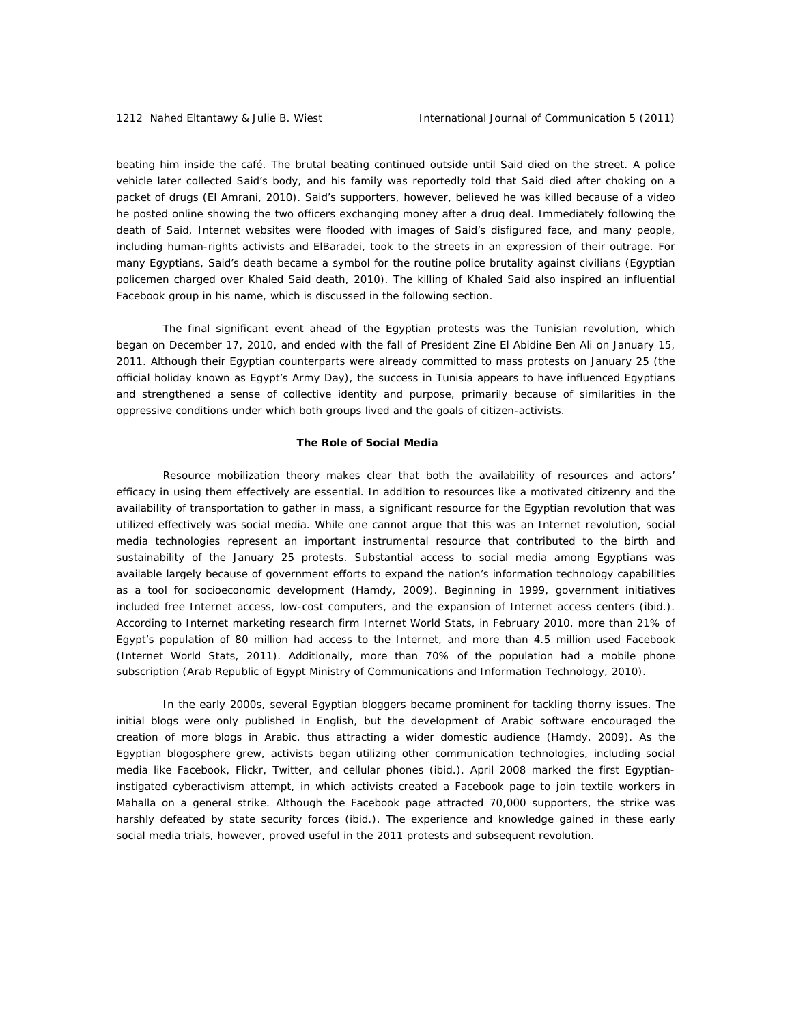beating him inside the café. The brutal beating continued outside until Said died on the street. A police vehicle later collected Said's body, and his family was reportedly told that Said died after choking on a packet of drugs (El Amrani, 2010). Said's supporters, however, believed he was killed because of a video he posted online showing the two officers exchanging money after a drug deal. Immediately following the death of Said, Internet websites were flooded with images of Said's disfigured face, and many people, including human-rights activists and ElBaradei, took to the streets in an expression of their outrage. For many Egyptians, Said's death became a symbol for the routine police brutality against civilians (Egyptian policemen charged over Khaled Said death, 2010). The killing of Khaled Said also inspired an influential Facebook group in his name, which is discussed in the following section.

The final significant event ahead of the Egyptian protests was the Tunisian revolution, which began on December 17, 2010, and ended with the fall of President Zine El Abidine Ben Ali on January 15, 2011. Although their Egyptian counterparts were already committed to mass protests on January 25 (the official holiday known as Egypt's Army Day), the success in Tunisia appears to have influenced Egyptians and strengthened a sense of collective identity and purpose, primarily because of similarities in the oppressive conditions under which both groups lived and the goals of citizen-activists.

## *The Role of Social Media*

Resource mobilization theory makes clear that both the availability of resources and actors' efficacy in using them effectively are essential. In addition to resources like a motivated citizenry and the availability of transportation to gather in mass, a significant resource for the Egyptian revolution that was utilized effectively was social media. While one cannot argue that this was an Internet revolution, social media technologies represent an important instrumental resource that contributed to the birth and sustainability of the January 25 protests. Substantial access to social media among Egyptians was available largely because of government efforts to expand the nation's information technology capabilities as a tool for socioeconomic development (Hamdy, 2009). Beginning in 1999, government initiatives included free Internet access, low-cost computers, and the expansion of Internet access centers (ibid.). According to Internet marketing research firm Internet World Stats, in February 2010, more than 21% of Egypt's population of 80 million had access to the Internet, and more than 4.5 million used Facebook (Internet World Stats, 2011). Additionally, more than 70% of the population had a mobile phone subscription (Arab Republic of Egypt Ministry of Communications and Information Technology, 2010).

In the early 2000s, several Egyptian bloggers became prominent for tackling thorny issues. The initial blogs were only published in English, but the development of Arabic software encouraged the creation of more blogs in Arabic, thus attracting a wider domestic audience (Hamdy, 2009). As the Egyptian blogosphere grew, activists began utilizing other communication technologies, including social media like Facebook, Flickr, Twitter, and cellular phones (ibid.). April 2008 marked the first Egyptianinstigated cyberactivism attempt, in which activists created a Facebook page to join textile workers in Mahalla on a general strike. Although the Facebook page attracted 70,000 supporters, the strike was harshly defeated by state security forces (ibid.). The experience and knowledge gained in these early social media trials, however, proved useful in the 2011 protests and subsequent revolution.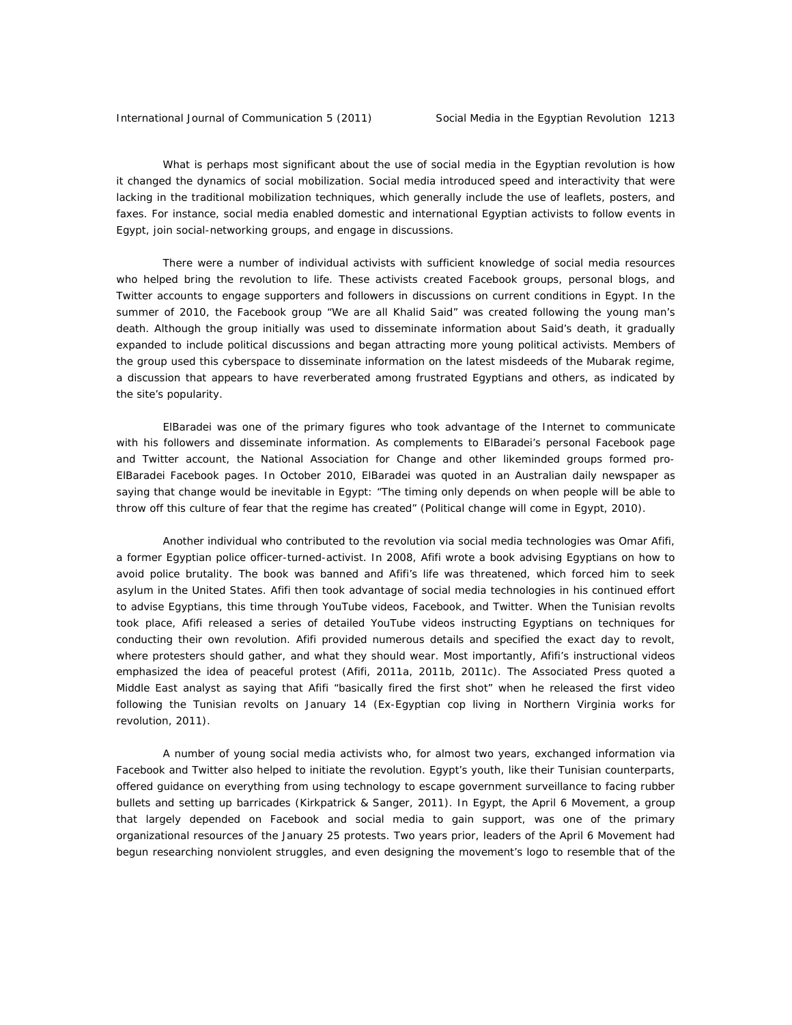What is perhaps most significant about the use of social media in the Egyptian revolution is how it changed the dynamics of social mobilization. Social media introduced speed and interactivity that were lacking in the traditional mobilization techniques, which generally include the use of leaflets, posters, and faxes. For instance, social media enabled domestic and international Egyptian activists to follow events in Egypt, join social-networking groups, and engage in discussions.

There were a number of individual activists with sufficient knowledge of social media resources who helped bring the revolution to life. These activists created Facebook groups, personal blogs, and Twitter accounts to engage supporters and followers in discussions on current conditions in Egypt. In the summer of 2010, the Facebook group "We are all Khalid Said" was created following the young man's death. Although the group initially was used to disseminate information about Said's death, it gradually expanded to include political discussions and began attracting more young political activists. Members of the group used this cyberspace to disseminate information on the latest misdeeds of the Mubarak regime, a discussion that appears to have reverberated among frustrated Egyptians and others, as indicated by the site's popularity.

ElBaradei was one of the primary figures who took advantage of the Internet to communicate with his followers and disseminate information. As complements to ElBaradei's personal Facebook page and Twitter account, the National Association for Change and other likeminded groups formed pro-ElBaradei Facebook pages. In October 2010, ElBaradei was quoted in an Australian daily newspaper as saying that change would be inevitable in Egypt: "The timing only depends on when people will be able to throw off this culture of fear that the regime has created" (Political change will come in Egypt, 2010).

Another individual who contributed to the revolution via social media technologies was Omar Afifi, a former Egyptian police officer-turned-activist. In 2008, Afifi wrote a book advising Egyptians on how to avoid police brutality. The book was banned and Afifi's life was threatened, which forced him to seek asylum in the United States. Afifi then took advantage of social media technologies in his continued effort to advise Egyptians, this time through YouTube videos, Facebook, and Twitter. When the Tunisian revolts took place, Afifi released a series of detailed YouTube videos instructing Egyptians on techniques for conducting their own revolution. Afifi provided numerous details and specified the exact day to revolt, where protesters should gather, and what they should wear. Most importantly, Afifi's instructional videos emphasized the idea of peaceful protest (Afifi, 2011a, 2011b, 2011c). The Associated Press quoted a Middle East analyst as saying that Afifi "basically fired the first shot" when he released the first video following the Tunisian revolts on January 14 (Ex-Egyptian cop living in Northern Virginia works for revolution, 2011).

A number of young social media activists who, for almost two years, exchanged information via Facebook and Twitter also helped to initiate the revolution. Egypt's youth, like their Tunisian counterparts, offered guidance on everything from using technology to escape government surveillance to facing rubber bullets and setting up barricades (Kirkpatrick & Sanger, 2011). In Egypt, the April 6 Movement, a group that largely depended on Facebook and social media to gain support, was one of the primary organizational resources of the January 25 protests. Two years prior, leaders of the April 6 Movement had begun researching nonviolent struggles, and even designing the movement's logo to resemble that of the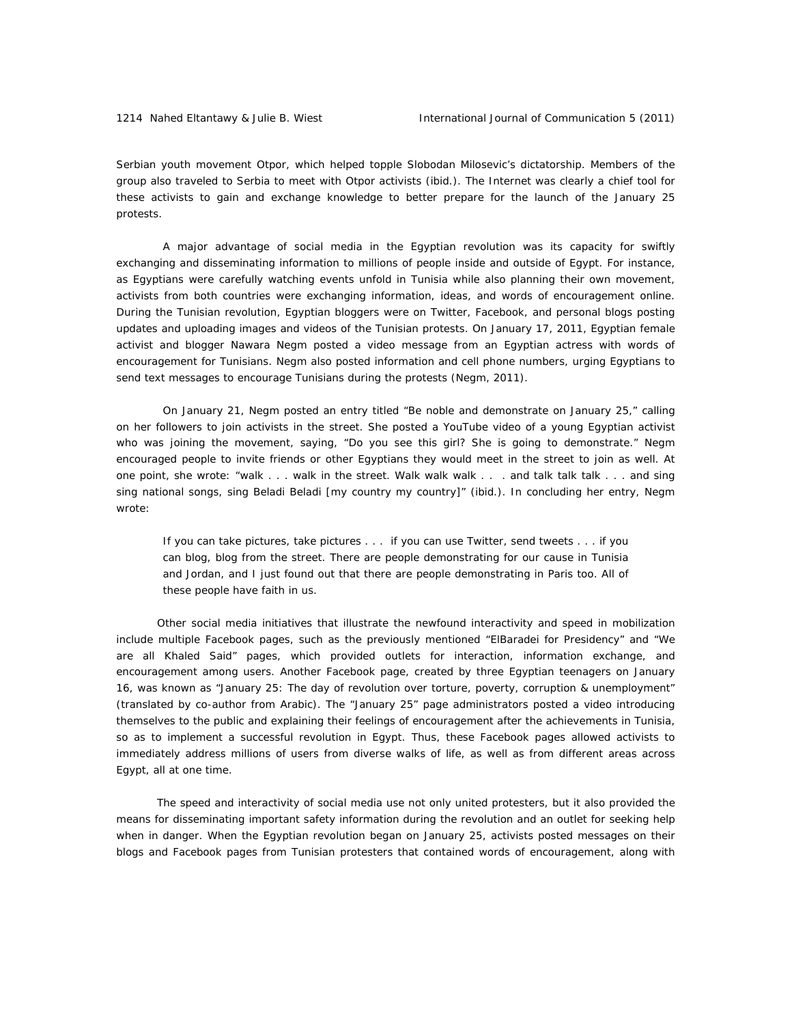Serbian youth movement Otpor, which helped topple Slobodan Milosevic's dictatorship. Members of the group also traveled to Serbia to meet with Otpor activists (ibid.). The Internet was clearly a chief tool for these activists to gain and exchange knowledge to better prepare for the launch of the January 25 protests.

A major advantage of social media in the Egyptian revolution was its capacity for swiftly exchanging and disseminating information to millions of people inside and outside of Egypt. For instance, as Egyptians were carefully watching events unfold in Tunisia while also planning their own movement, activists from both countries were exchanging information, ideas, and words of encouragement online. During the Tunisian revolution, Egyptian bloggers were on Twitter, Facebook, and personal blogs posting updates and uploading images and videos of the Tunisian protests. On January 17, 2011, Egyptian female activist and blogger Nawara Negm posted a video message from an Egyptian actress with words of encouragement for Tunisians. Negm also posted information and cell phone numbers, urging Egyptians to send text messages to encourage Tunisians during the protests (Negm, 2011).

 On January 21, Negm posted an entry titled "Be noble and demonstrate on January 25," calling on her followers to join activists in the street. She posted a YouTube video of a young Egyptian activist who was joining the movement, saying, "Do you see this girl? She is going to demonstrate." Negm encouraged people to invite friends or other Egyptians they would meet in the street to join as well. At one point, she wrote: "walk . . . walk in the street. Walk walk walk . . . and talk talk talk . . . and sing sing national songs, sing Beladi Beladi [my country my country]" (ibid.). In concluding her entry, Negm wrote:

If you can take pictures, take pictures . . . if you can use Twitter, send tweets . . . if you can blog, blog from the street. There are people demonstrating for our cause in Tunisia and Jordan, and I just found out that there are people demonstrating in Paris too. All of these people have faith in us.

Other social media initiatives that illustrate the newfound interactivity and speed in mobilization include multiple Facebook pages, such as the previously mentioned "ElBaradei for Presidency" and "We are all Khaled Said" pages, which provided outlets for interaction, information exchange, and encouragement among users. Another Facebook page, created by three Egyptian teenagers on January 16, was known as "January 25: The day of revolution over torture, poverty, corruption & unemployment" (translated by co-author from Arabic). The "January 25" page administrators posted a video introducing themselves to the public and explaining their feelings of encouragement after the achievements in Tunisia, so as to implement a successful revolution in Egypt. Thus, these Facebook pages allowed activists to immediately address millions of users from diverse walks of life, as well as from different areas across Egypt, all at one time.

The speed and interactivity of social media use not only united protesters, but it also provided the means for disseminating important safety information during the revolution and an outlet for seeking help when in danger. When the Egyptian revolution began on January 25, activists posted messages on their blogs and Facebook pages from Tunisian protesters that contained words of encouragement, along with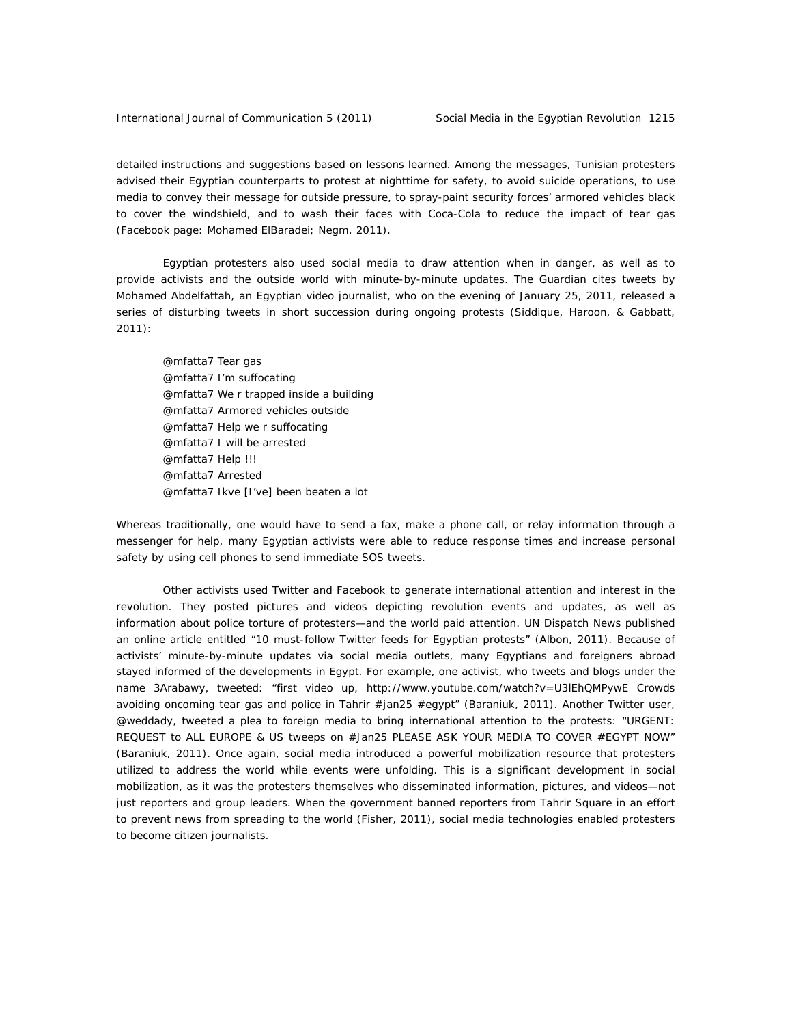detailed instructions and suggestions based on lessons learned. Among the messages, Tunisian protesters advised their Egyptian counterparts to protest at nighttime for safety, to avoid suicide operations, to use media to convey their message for outside pressure, to spray-paint security forces' armored vehicles black to cover the windshield, and to wash their faces with Coca-Cola to reduce the impact of tear gas (Facebook page: Mohamed ElBaradei; Negm, 2011).

Egyptian protesters also used social media to draw attention when in danger, as well as to provide activists and the outside world with minute-by-minute updates. *The Guardian* cites tweets by Mohamed Abdelfattah, an Egyptian video journalist, who on the evening of January 25, 2011, released a series of disturbing tweets in short succession during ongoing protests (Siddique, Haroon, & Gabbatt, 2011):

@mfatta7 Tear gas @mfatta7 I'm suffocating @mfatta7 We r trapped inside a building @mfatta7 Armored vehicles outside @mfatta7 Help we r suffocating @mfatta7 I will be arrested @mfatta7 Help !!! @mfatta7 Arrested @mfatta7 Ikve [I've] been beaten a lot

Whereas traditionally, one would have to send a fax, make a phone call, or relay information through a messenger for help, many Egyptian activists were able to reduce response times and increase personal safety by using cell phones to send immediate SOS tweets.

Other activists used Twitter and Facebook to generate international attention and interest in the revolution. They posted pictures and videos depicting revolution events and updates, as well as information about police torture of protesters—and the world paid attention. UN Dispatch News published an online article entitled "10 must-follow Twitter feeds for Egyptian protests" (Albon, 2011). Because of activists' minute-by-minute updates via social media outlets, many Egyptians and foreigners abroad stayed informed of the developments in Egypt. For example, one activist, who tweets and blogs under the name 3Arabawy, tweeted: "first video up, http://www.youtube.com/watch?v=U3lEhQMPywE Crowds avoiding oncoming tear gas and police in Tahrir #jan25 #egypt" (Baraniuk, 2011). Another Twitter user, @weddady, tweeted a plea to foreign media to bring international attention to the protests: "URGENT: REQUEST to ALL EUROPE & US tweeps on #Jan25 PLEASE ASK YOUR MEDIA TO COVER #EGYPT NOW" (Baraniuk, 2011). Once again, social media introduced a powerful mobilization resource that protesters utilized to address the world while events were unfolding. This is a significant development in social mobilization, as it was the protesters themselves who disseminated information, pictures, and videos—not just reporters and group leaders. When the government banned reporters from Tahrir Square in an effort to prevent news from spreading to the world (Fisher, 2011), social media technologies enabled protesters to become citizen journalists.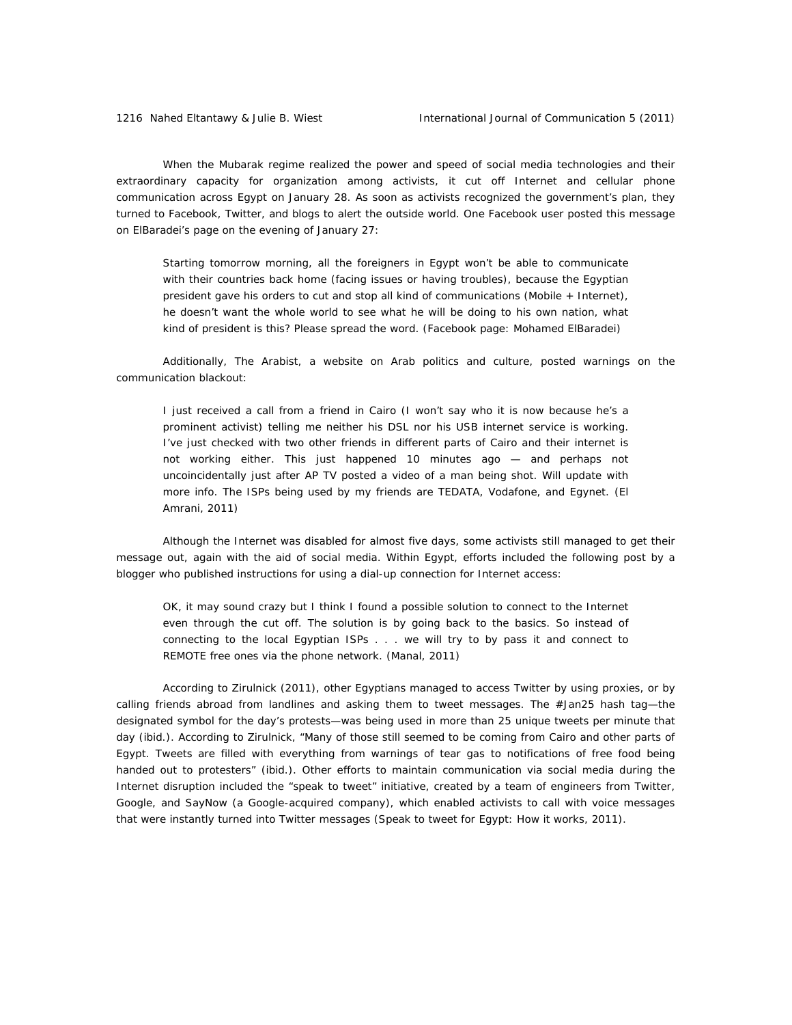When the Mubarak regime realized the power and speed of social media technologies and their extraordinary capacity for organization among activists, it cut off Internet and cellular phone communication across Egypt on January 28. As soon as activists recognized the government's plan, they turned to Facebook, Twitter, and blogs to alert the outside world. One Facebook user posted this message on ElBaradei's page on the evening of January 27:

Starting tomorrow morning, all the foreigners in Egypt won't be able to communicate with their countries back home (facing issues or having troubles), because the Egyptian president gave his orders to cut and stop all kind of communications (Mobile + Internet), he doesn't want the whole world to see what he will be doing to his own nation, what kind of president is this? Please spread the word. (Facebook page: Mohamed ElBaradei)

 Additionally, The Arabist, a website on Arab politics and culture, posted warnings on the communication blackout:

I just received a call from a friend in Cairo (I won't say who it is now because he's a prominent activist) telling me neither his DSL nor his USB internet service is working. I've just checked with two other friends in different parts of Cairo and their internet is not working either. This just happened 10 minutes ago — and perhaps not uncoincidentally just after AP TV posted a video of a man being shot. Will update with more info. The ISPs being used by my friends are TEDATA, Vodafone, and Egynet. (El Amrani, 2011)

 Although the Internet was disabled for almost five days, some activists still managed to get their message out, again with the aid of social media. Within Egypt, efforts included the following post by a blogger who published instructions for using a dial-up connection for Internet access:

OK, it may sound crazy but I think I found a possible solution to connect to the Internet even through the cut off. The solution is by going back to the basics. So instead of connecting to the local Egyptian ISPs . . . we will try to by pass it and connect to REMOTE free ones via the phone network. (Manal, 2011)

 According to Zirulnick (2011), other Egyptians managed to access Twitter by using proxies, or by calling friends abroad from landlines and asking them to tweet messages. The #Jan25 hash tag—the designated symbol for the day's protests—was being used in more than 25 unique tweets per minute that day (ibid.). According to Zirulnick, "Many of those still seemed to be coming from Cairo and other parts of Egypt. Tweets are filled with everything from warnings of tear gas to notifications of free food being handed out to protesters" (ibid.). Other efforts to maintain communication via social media during the Internet disruption included the "speak to tweet" initiative, created by a team of engineers from Twitter, Google, and SayNow (a Google-acquired company), which enabled activists to call with voice messages that were instantly turned into Twitter messages (Speak to tweet for Egypt: How it works, 2011).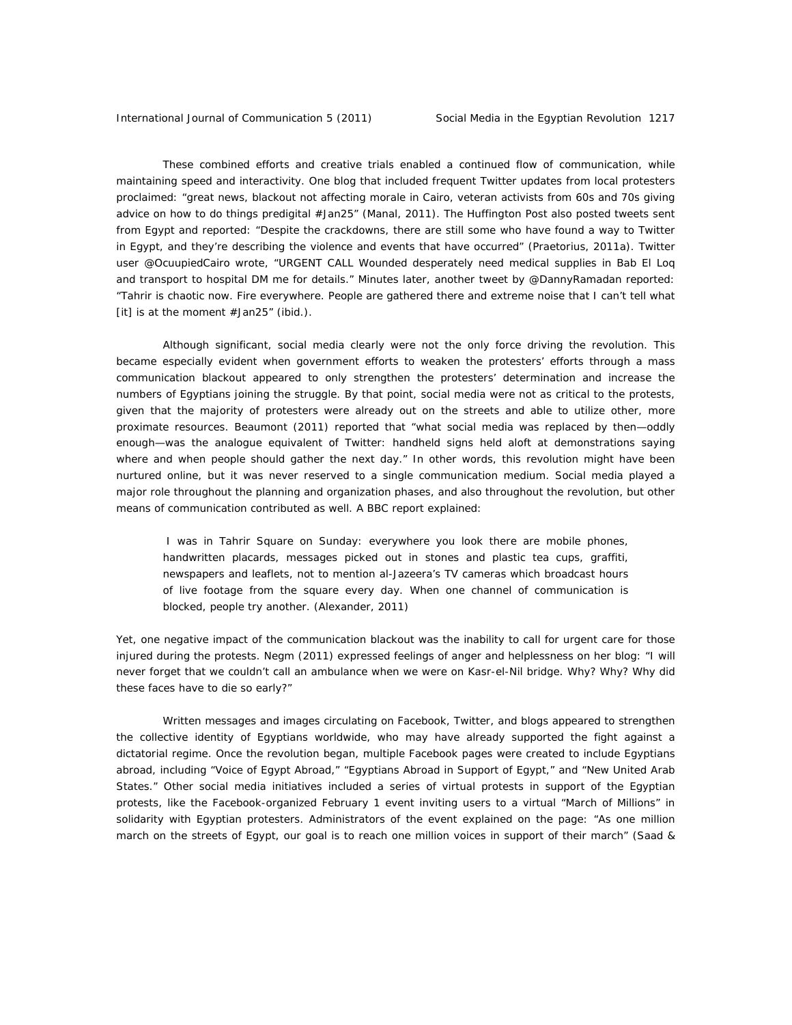These combined efforts and creative trials enabled a continued flow of communication, while maintaining speed and interactivity. One blog that included frequent Twitter updates from local protesters proclaimed: "great news, blackout not affecting morale in Cairo, veteran activists from 60s and 70s giving advice on how to do things predigital #Jan25" (Manal, 2011). The Huffington Post also posted tweets sent from Egypt and reported: "Despite the crackdowns, there are still some who have found a way to Twitter in Egypt, and they're describing the violence and events that have occurred" (Praetorius, 2011a). Twitter user @OcuupiedCairo wrote, "URGENT CALL Wounded desperately need medical supplies in Bab El Loq and transport to hospital DM me for details." Minutes later, another tweet by @DannyRamadan reported: "Tahrir is chaotic now. Fire everywhere. People are gathered there and extreme noise that I can't tell what [it] is at the moment #Jan25" (ibid.).

Although significant, social media clearly were not the only force driving the revolution. This became especially evident when government efforts to weaken the protesters' efforts through a mass communication blackout appeared to only strengthen the protesters' determination and increase the numbers of Egyptians joining the struggle. By that point, social media were not as critical to the protests, given that the majority of protesters were already out on the streets and able to utilize other, more proximate resources. Beaumont (2011) reported that "what social media was replaced by then—oddly enough—was the analogue equivalent of Twitter: handheld signs held aloft at demonstrations saying where and when people should gather the next day." In other words, this revolution might have been nurtured online, but it was never reserved to a single communication medium. Social media played a major role throughout the planning and organization phases, and also throughout the revolution, but other means of communication contributed as well. A BBC report explained:

 I was in Tahrir Square on Sunday: everywhere you look there are mobile phones, handwritten placards, messages picked out in stones and plastic tea cups, graffiti, newspapers and leaflets, not to mention al-Jazeera's TV cameras which broadcast hours of live footage from the square every day. When one channel of communication is blocked, people try another. (Alexander, 2011)

Yet, one negative impact of the communication blackout was the inability to call for urgent care for those injured during the protests. Negm (2011) expressed feelings of anger and helplessness on her blog: "I will never forget that we couldn't call an ambulance when we were on Kasr-el-Nil bridge. Why? Why? Why did these faces have to die so early?"

Written messages and images circulating on Facebook, Twitter, and blogs appeared to strengthen the collective identity of Egyptians worldwide, who may have already supported the fight against a dictatorial regime. Once the revolution began, multiple Facebook pages were created to include Egyptians abroad, including "Voice of Egypt Abroad," "Egyptians Abroad in Support of Egypt," and "New United Arab States." Other social media initiatives included a series of virtual protests in support of the Egyptian protests, like the Facebook-organized February 1 event inviting users to a virtual "March of Millions" in solidarity with Egyptian protesters. Administrators of the event explained on the page: "As one million march on the streets of Egypt, our goal is to reach one million voices in support of their march" (Saad &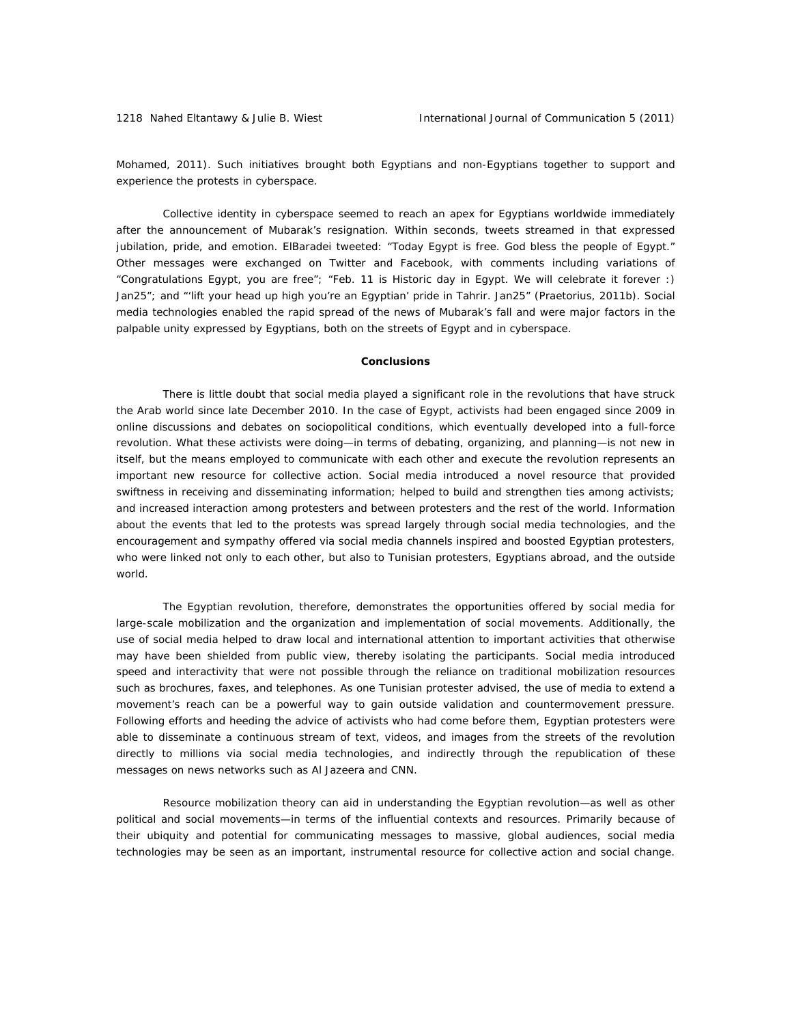Mohamed, 2011). Such initiatives brought both Egyptians and non-Egyptians together to support and experience the protests in cyberspace.

 Collective identity in cyberspace seemed to reach an apex for Egyptians worldwide immediately after the announcement of Mubarak's resignation. Within seconds, tweets streamed in that expressed jubilation, pride, and emotion. ElBaradei tweeted: "Today Egypt is free. God bless the people of Egypt." Other messages were exchanged on Twitter and Facebook, with comments including variations of "Congratulations Egypt, you are free"; "Feb. 11 is Historic day in Egypt. We will celebrate it forever :) Jan25"; and "'lift your head up high you're an Egyptian' pride in Tahrir. Jan25" (Praetorius, 2011b). Social media technologies enabled the rapid spread of the news of Mubarak's fall and were major factors in the palpable unity expressed by Egyptians, both on the streets of Egypt and in cyberspace.

#### **Conclusions**

There is little doubt that social media played a significant role in the revolutions that have struck the Arab world since late December 2010. In the case of Egypt, activists had been engaged since 2009 in online discussions and debates on sociopolitical conditions, which eventually developed into a full-force revolution. What these activists were doing—in terms of debating, organizing, and planning—is not new in itself, but the means employed to communicate with each other and execute the revolution represents an important new resource for collective action. Social media introduced a novel resource that provided swiftness in receiving and disseminating information; helped to build and strengthen ties among activists; and increased interaction among protesters and between protesters and the rest of the world. Information about the events that led to the protests was spread largely through social media technologies, and the encouragement and sympathy offered via social media channels inspired and boosted Egyptian protesters, who were linked not only to each other, but also to Tunisian protesters, Egyptians abroad, and the outside world.

The Egyptian revolution, therefore, demonstrates the opportunities offered by social media for large-scale mobilization and the organization and implementation of social movements. Additionally, the use of social media helped to draw local and international attention to important activities that otherwise may have been shielded from public view, thereby isolating the participants. Social media introduced speed and interactivity that were not possible through the reliance on traditional mobilization resources such as brochures, faxes, and telephones. As one Tunisian protester advised, the use of media to extend a movement's reach can be a powerful way to gain outside validation and countermovement pressure. Following efforts and heeding the advice of activists who had come before them, Egyptian protesters were able to disseminate a continuous stream of text, videos, and images from the streets of the revolution directly to millions via social media technologies, and indirectly through the republication of these messages on news networks such as Al Jazeera and CNN.

Resource mobilization theory can aid in understanding the Egyptian revolution—as well as other political and social movements—in terms of the influential contexts and resources. Primarily because of their ubiquity and potential for communicating messages to massive, global audiences, social media technologies may be seen as an important, instrumental resource for collective action and social change.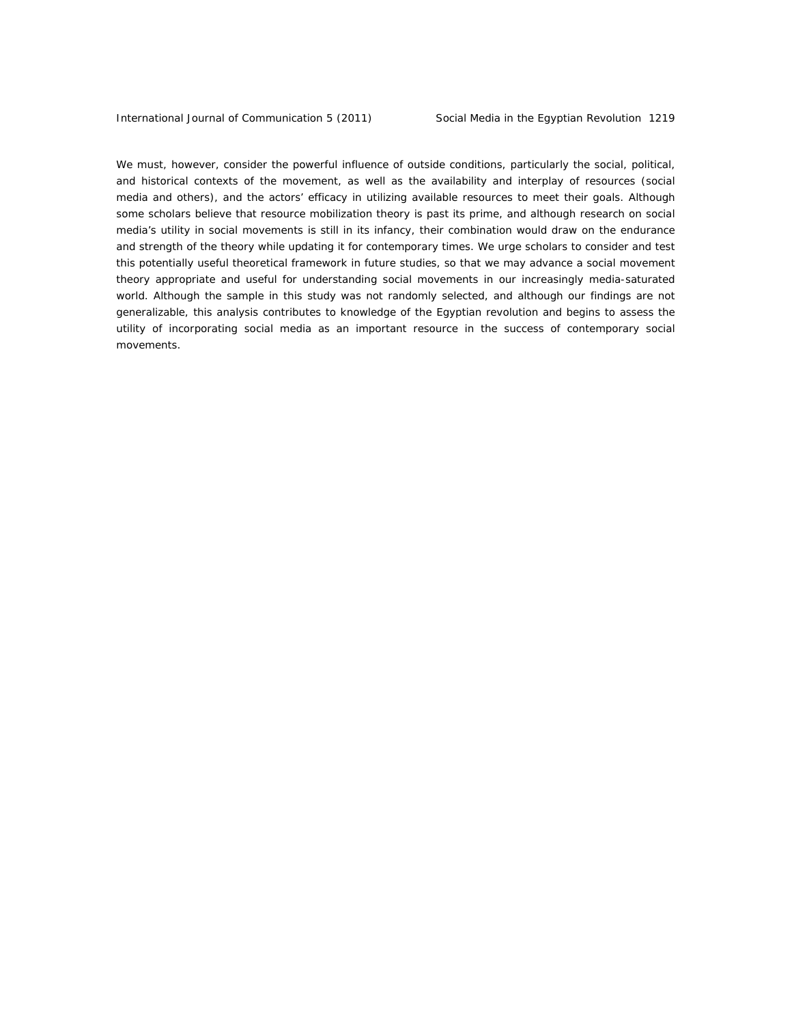We must, however, consider the powerful influence of outside conditions, particularly the social, political, and historical contexts of the movement, as well as the availability and interplay of resources (social media and others), and the actors' efficacy in utilizing available resources to meet their goals. Although some scholars believe that resource mobilization theory is past its prime, and although research on social media's utility in social movements is still in its infancy, their combination would draw on the endurance and strength of the theory while updating it for contemporary times. We urge scholars to consider and test this potentially useful theoretical framework in future studies, so that we may advance a social movement theory appropriate and useful for understanding social movements in our increasingly media-saturated world. Although the sample in this study was not randomly selected, and although our findings are not generalizable, this analysis contributes to knowledge of the Egyptian revolution and begins to assess the utility of incorporating social media as an important resource in the success of contemporary social movements.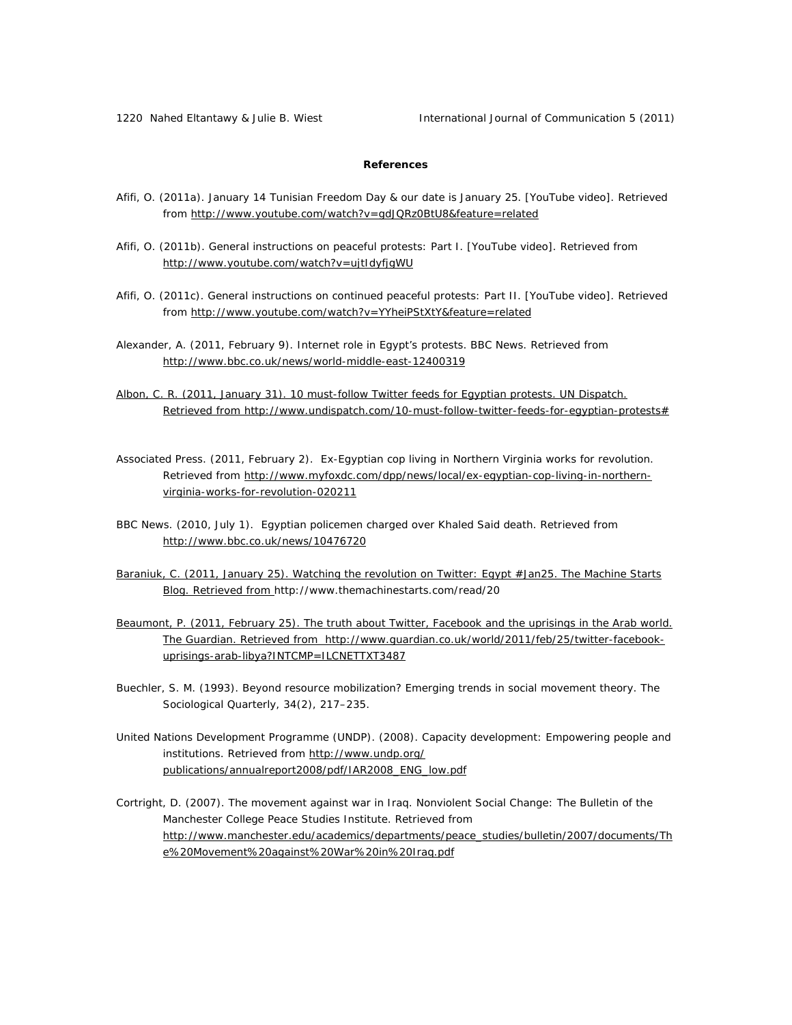1220 Nahed Eltantawy & Julie B. Wiest International Journal of Communication 5 (2011)

# **References**

- Afifi, O. (2011a). January 14 Tunisian Freedom Day & our date is January 25*.* [YouTube video]. Retrieved from http://www.youtube.com/watch?v=gdJQRz0BtU8&feature=related
- Afifi, O. (2011b). General instructions on peaceful protests: Part I*.* [YouTube video]. Retrieved from http://www.youtube.com/watch?v=ujtIdyfjgWU
- Afifi, O. (2011c). General instructions on continued peaceful protests: Part II*.* [YouTube video]. Retrieved from http://www.youtube.com/watch?v=YYheiPStXtY&feature=related
- Alexander, A. (2011, February 9). Internet role in Egypt's protests. *BBC News*. Retrieved from http://www.bbc.co.uk/news/world-middle-east-12400319
- Albon, C. R. (2011, January 31). 10 must-follow Twitter feeds for Egyptian protests. *UN Dispatch*. Retrieved from http://www.undispatch.com/10-must-follow-twitter-feeds-for-egyptian-protests#
- *Associated Press*. (2011, February 2). Ex-Egyptian cop living in Northern Virginia works for revolution. Retrieved from http://www.myfoxdc.com/dpp/news/local/ex-egyptian-cop-living-in-northernvirginia-works-for-revolution-020211
- *BBC News*. (2010, July 1). Egyptian policemen charged over Khaled Said death. Retrieved from http://www.bbc.co.uk/news/10476720
- Baraniuk, C. (2011, January 25). Watching the revolution on Twitter: Egypt #Jan25. *The Machine Starts Blog*. Retrieved from http://www.themachinestarts.com/read/20
- Beaumont, P. (2011, February 25). The truth about Twitter, Facebook and the uprisings in the Arab world. *The Guardian*. Retrieved from http://www.guardian.co.uk/world/2011/feb/25/twitter-facebookuprisings-arab-libya?INTCMP=ILCNETTXT3487
- Buechler, S. M. (1993). Beyond resource mobilization? Emerging trends in social movement theory. *The Sociological Quarterly, 34(2)*, 217–235.
- United Nations Development Programme (UNDP). (2008). Capacity development: Empowering people and institutions. Retrieved from http://www.undp.org/ publications/annualreport2008/pdf/IAR2008\_ENG\_low.pdf
- Cortright, D. (2007). The movement against war in Iraq. *Nonviolent Social Change: The Bulletin of the Manchester College Peace Studies Institute*. Retrieved from http://www.manchester.edu/academics/departments/peace\_studies/bulletin/2007/documents/Th e%20Movement%20against%20War%20in%20Iraq.pdf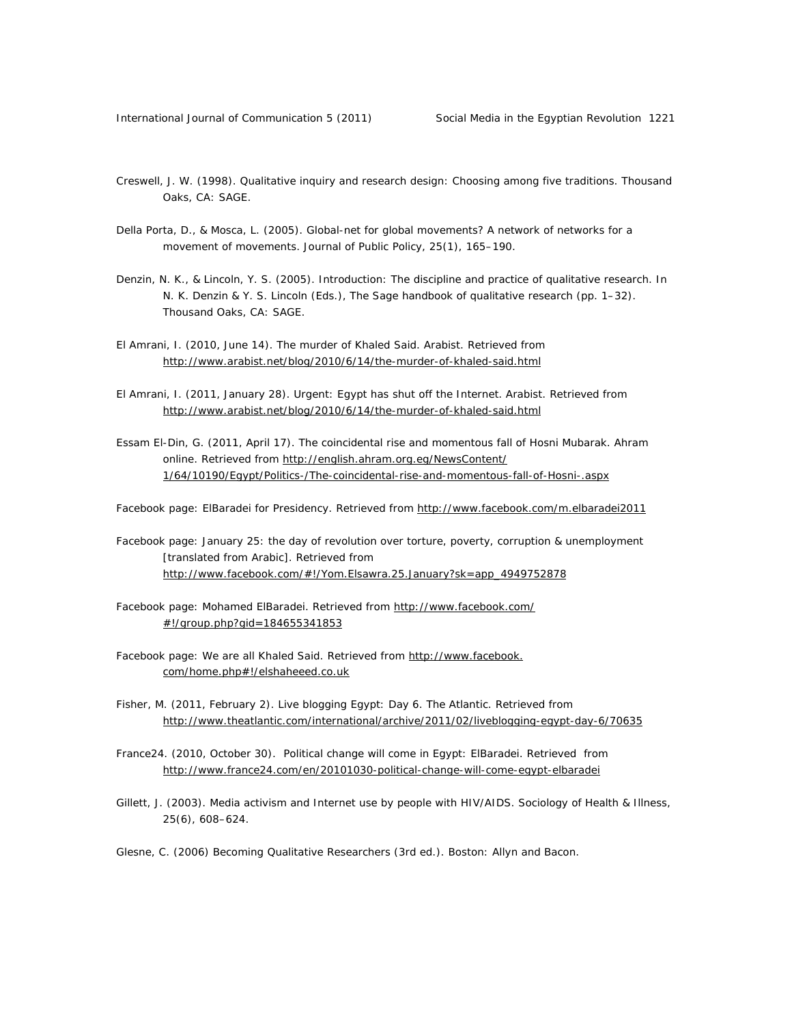- Creswell, J. W. (1998). *Qualitative inquiry and research design: Choosing among five traditions*. Thousand Oaks, CA: SAGE.
- Della Porta, D., & Mosca, L. (2005). Global-net for global movements? A network of networks for a movement of movements. *Journal of Public Policy, 25(1)*, 165–190.
- Denzin, N. K., & Lincoln, Y. S. (2005). Introduction: The discipline and practice of qualitative research. In N. K. Denzin & Y. S. Lincoln (Eds.), *The Sage handbook of qualitative research* (pp. 1–32). Thousand Oaks, CA: SAGE.
- El Amrani, I. (2010, June 14). The murder of Khaled Said. *Arabist*. Retrieved from http://www.arabist.net/blog/2010/6/14/the-murder-of-khaled-said.html
- El Amrani, I. (2011, January 28). Urgent: Egypt has shut off the Internet. *Arabist*. Retrieved from http://www.arabist.net/blog/2010/6/14/the-murder-of-khaled-said.html
- Essam El-Din, G. (2011, April 17). The coincidental rise and momentous fall of Hosni Mubarak. *Ahram online*. Retrieved from http://english.ahram.org.eg/NewsContent/ 1/64/10190/Egypt/Politics-/The-coincidental-rise-and-momentous-fall-of-Hosni-.aspx

Facebook page: ElBaradei for Presidency. Retrieved from http://www.facebook.com/m.elbaradei2011

- Facebook page: January 25: the day of revolution over torture, poverty, corruption & unemployment [translated from Arabic]. Retrieved from http://www.facebook.com/#!/Yom.Elsawra.25.January?sk=app\_4949752878
- Facebook page: Mohamed ElBaradei. Retrieved from http://www.facebook.com/ #!/group.php?gid=184655341853
- Facebook page: We are all Khaled Said. Retrieved from http://www.facebook. com/home.php#!/elshaheeed.co.uk
- Fisher, M. (2011, February 2). Live blogging Egypt: Day 6. *The Atlantic*. Retrieved from http://www.theatlantic.com/international/archive/2011/02/liveblogging-egypt-day-6/70635
- *France24*. (2010, October 30). Political change will come in Egypt: ElBaradei. Retrieved from http://www.france24.com/en/20101030-political-change-will-come-egypt-elbaradei
- Gillett, J. (2003). Media activism and Internet use by people with HIV/AIDS. *Sociology of Health & Illness, 25(6)*, 608–624.
- Glesne, C. (2006) *Becoming Qualitative Researchers* (3rd ed.). Boston: Allyn and Bacon.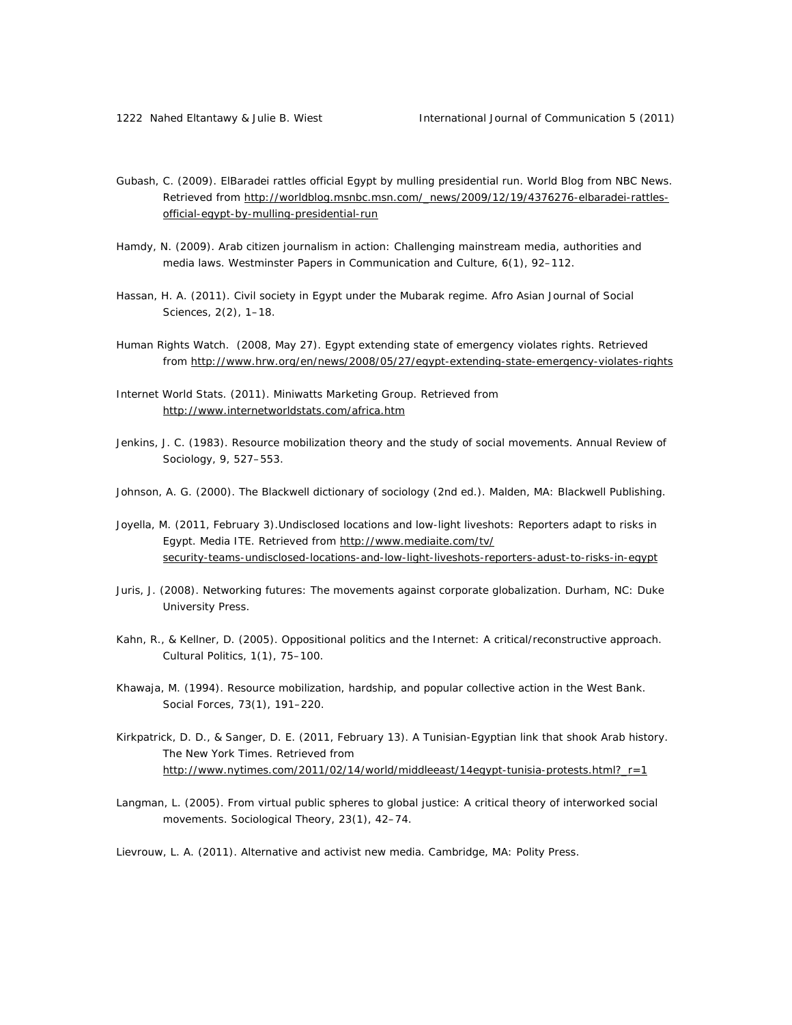- Gubash, C. (2009). ElBaradei rattles official Egypt by mulling presidential run. World Blog from NBC News. Retrieved from http://worldblog.msnbc.msn.com/\_news/2009/12/19/4376276-elbaradei-rattlesofficial-egypt-by-mulling-presidential-run
- Hamdy, N. (2009). Arab citizen journalism in action: Challenging mainstream media, authorities and media laws. *Westminster Papers in Communication and Culture, 6(1)*, 92–112.
- Hassan, H. A. (2011). Civil society in Egypt under the Mubarak regime. *Afro Asian Journal of Social Sciences, 2*(2), 1–18.
- *Human Rights Watch.* (2008, May 27). Egypt extending state of emergency violates rights. Retrieved from http://www.hrw.org/en/news/2008/05/27/egypt-extending-state-emergency-violates-rights
- Internet World Stats. (2011). Miniwatts Marketing Group. Retrieved from http://www.internetworldstats.com/africa.htm
- Jenkins, J. C. (1983). Resource mobilization theory and the study of social movements. *Annual Review of Sociology, 9*, 527–553.
- Johnson, A. G. (2000). *The Blackwell dictiona*ry *of sociology* (2nd ed.). Malden, MA: Blackwell Publishing.
- Joyella, M. (2011, February 3).Undisclosed locations and low-light liveshots: Reporters adapt to risks in Egypt. *Media ITE*. Retrieved from http://www.mediaite.com/tv/ security-teams-undisclosed-locations-and-low-light-liveshots-reporters-adust-to-risks-in-egypt
- Juris, J. (2008). *Networking futures: The movements against corporate globalization*. Durham, NC: Duke University Press.
- Kahn, R., & Kellner, D. (2005). Oppositional politics and the Internet: A critical/reconstructive approach. *Cultural Politics, 1*(1), 75–100.
- Khawaja, M. (1994). Resource mobilization, hardship, and popular collective action in the West Bank. *Social Forces, 73*(1), 191–220.
- Kirkpatrick, D. D., & Sanger, D. E. (2011, February 13). A Tunisian-Egyptian link that shook Arab history. *The New York Times*. Retrieved from http://www.nytimes.com/2011/02/14/world/middleeast/14egypt-tunisia-protests.html?\_r=1
- Langman, L. (2005). From virtual public spheres to global justice: A critical theory of interworked social movements. *Sociological Theory, 23*(1), 42–74.

Lievrouw, L. A. (2011). *Alternative and activist new media.* Cambridge, MA: Polity Press.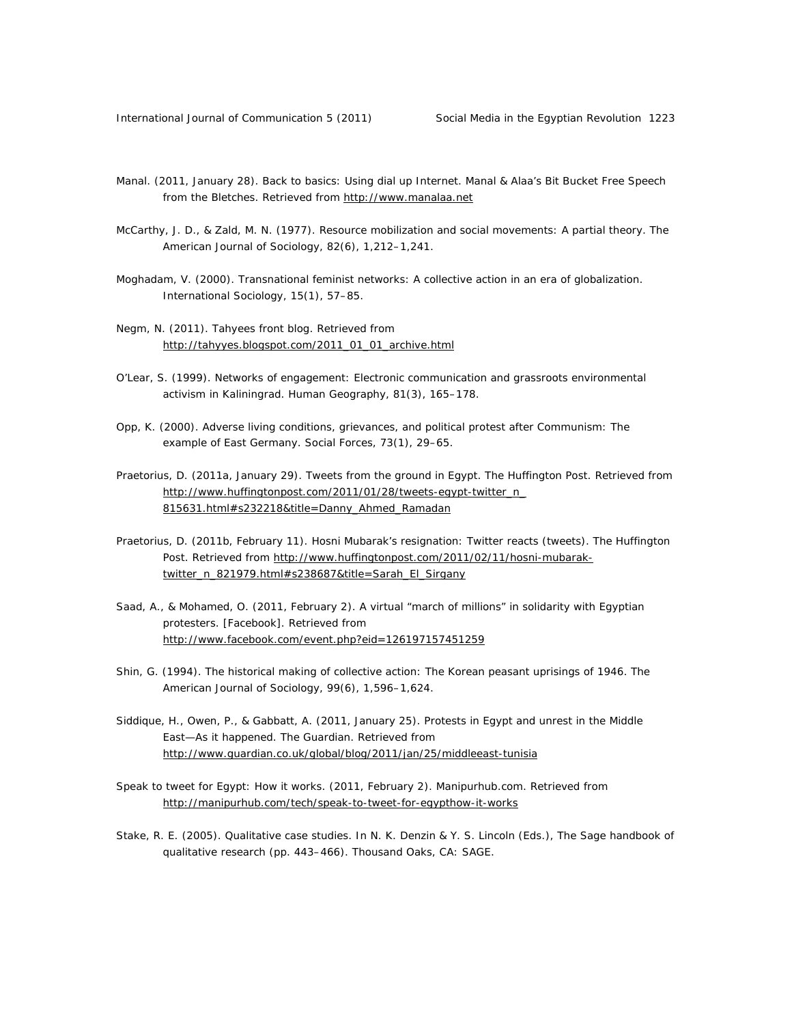- Manal. (2011, January 28). Back to basics: Using dial up Internet. Manal & Alaa's Bit Bucket Free Speech from the Bletches. Retrieved from http://www.manalaa.net
- McCarthy, J. D., & Zald, M. N. (1977). Resource mobilization and social movements: A partial theory. *The American Journal of Sociology, 82*(6), 1,212–1,241.
- Moghadam, V. (2000). Transnational feminist networks: A collective action in an era of globalization. *International Sociology, 15*(1), 57–85.
- Negm, N. (2011). Tahyees front blog. Retrieved from http://tahyyes.blogspot.com/2011\_01\_01\_archive.html
- O'Lear, S. (1999). Networks of engagement: Electronic communication and grassroots environmental activism in Kaliningrad. *Human Geography, 81*(3), 165–178.
- Opp, K. (2000). Adverse living conditions, grievances, and political protest after Communism: The example of East Germany. *Social Forces, 73*(1), 29–65.
- Praetorius, D. (2011a, January 29). Tweets from the ground in Egypt. *The Huffington Post*. Retrieved from http://www.huffingtonpost.com/2011/01/28/tweets-egypt-twitter\_n\_ 815631.html#s232218&title=Danny\_Ahmed\_Ramadan
- Praetorius, D. (2011b, February 11). Hosni Mubarak's resignation: Twitter reacts (tweets). *The Huffington Post*. Retrieved from http://www.huffingtonpost.com/2011/02/11/hosni-mubaraktwitter\_n\_821979.html#s238687&title=Sarah\_El\_Sirgany
- Saad, A., & Mohamed, O. (2011, February 2). A virtual "march of millions" in solidarity with Egyptian protesters. [Facebook]. Retrieved from http://www.facebook.com/event.php?eid=126197157451259
- Shin, G. (1994). The historical making of collective action: The Korean peasant uprisings of 1946. *The American Journal of Sociology, 99*(6), 1,596–1,624.
- Siddique, H., Owen, P., & Gabbatt, A. (2011, January 25). Protests in Egypt and unrest in the Middle East—As it happened. *The Guardian*. Retrieved from http://www.guardian.co.uk/global/blog/2011/jan/25/middleeast-tunisia
- Speak to tweet for Egypt: How it works. (2011, February 2). Manipurhub.com. Retrieved from http://manipurhub.com/tech/speak-to-tweet-for-egypthow-it-works
- Stake, R. E. (2005). Qualitative case studies. In N. K. Denzin & Y. S. Lincoln (Eds.), *The Sage handbook of qualitative research* (pp. 443–466). Thousand Oaks, CA: SAGE.